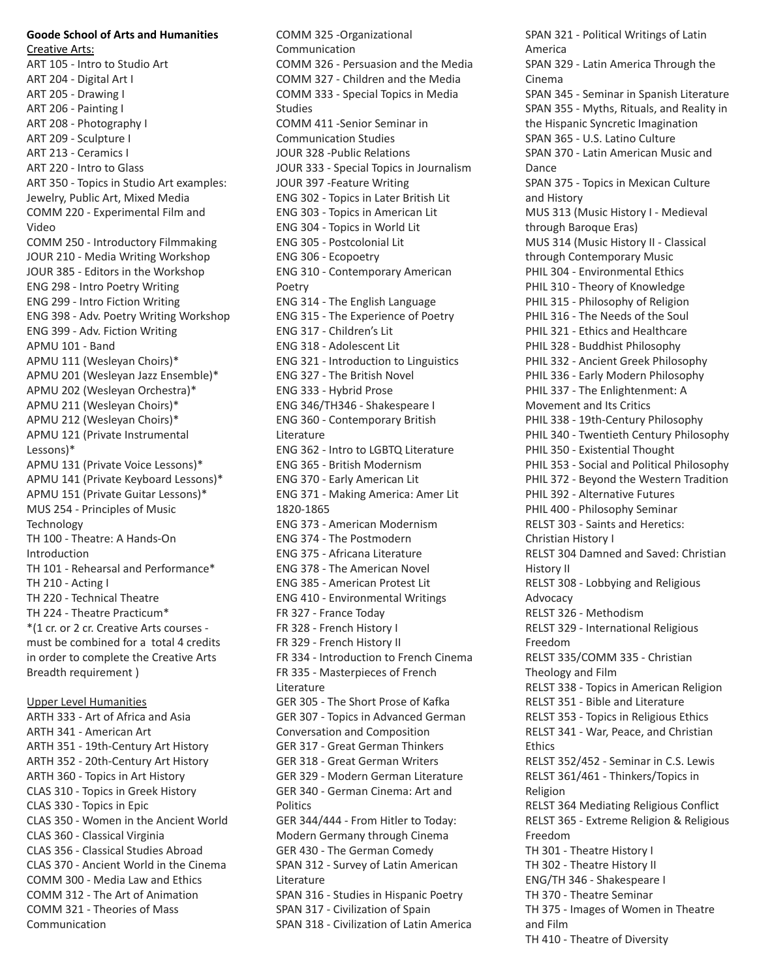## **Goode School of Arts and Humanities**

Creative Arts: ART 105 - Intro to Studio Art ART 204 - Digital Art I ART 205 - Drawing I ART 206 - Painting I ART 208 - Photography I ART 209 - Sculpture I ART 213 - Ceramics I ART 220 - Intro to Glass ART 350 - Topics in Studio Art examples: Jewelry, Public Art, Mixed Media COMM 220 - Experimental Film and Video COMM 250 - Introductory Filmmaking JOUR 210 - Media Writing Workshop JOUR 385 - Editors in the Workshop ENG 298 - Intro Poetry Writing ENG 299 - Intro Fiction Writing ENG 398 - Adv. Poetry Writing Workshop ENG 399 - Adv. Fiction Writing APMU 101 - Band APMU 111 (Wesleyan Choirs)\* APMU 201 (Wesleyan Jazz Ensemble)\* APMU 202 (Wesleyan Orchestra)\* APMU 211 (Wesleyan Choirs)\* APMU 212 (Wesleyan Choirs)\* APMU 121 (Private Instrumental Lessons)\* APMU 131 (Private Voice Lessons)\* APMU 141 (Private Keyboard Lessons)\* APMU 151 (Private Guitar Lessons)\* MUS 254 - Principles of Music **Technology** TH 100 - Theatre: A Hands-On Introduction TH 101 - Rehearsal and Performance\* TH 210 - Acting I TH 220 - Technical Theatre TH 224 - Theatre Practicum\* \*(1 cr. or 2 cr. Creative Arts courses must be combined for a total 4 credits in order to complete the Creative Arts Breadth requirement )

Upper Level Humanities ARTH 333 - Art of Africa and Asia ARTH 341 - American Art ARTH 351 - 19th-Century Art History ARTH 352 - 20th-Century Art History ARTH 360 - Topics in Art History CLAS 310 - Topics in Greek History CLAS 330 - Topics in Epic CLAS 350 - Women in the Ancient World CLAS 360 - Classical Virginia CLAS 356 - Classical Studies Abroad CLAS 370 - Ancient World in the Cinema COMM 300 - Media Law and Ethics COMM 312 - The Art of Animation COMM 321 - Theories of Mass Communication

COMM 325 -Organizational Communication COMM 326 - Persuasion and the Media COMM 327 - Children and the Media COMM 333 - Special Topics in Media Studies COMM 411 -Senior Seminar in Communication Studies JOUR 328 -Public Relations JOUR 333 - Special Topics in Journalism JOUR 397 -Feature Writing ENG 302 - Topics in Later British Lit ENG 303 - Topics in American Lit ENG 304 - Topics in World Lit ENG 305 - Postcolonial Lit ENG 306 - Ecopoetry ENG 310 - Contemporary American Poetry ENG 314 - The English Language ENG 315 - The Experience of Poetry ENG 317 - Children's Lit ENG 318 - Adolescent Lit ENG 321 - Introduction to Linguistics ENG 327 - The British Novel ENG 333 - Hybrid Prose ENG 346/TH346 - Shakespeare I ENG 360 - Contemporary British Literature ENG 362 - Intro to LGBTQ Literature ENG 365 - British Modernism ENG 370 - Early American Lit ENG 371 - Making America: Amer Lit 1820-1865 ENG 373 - American Modernism ENG 374 - The Postmodern ENG 375 - Africana Literature ENG 378 - The American Novel ENG 385 - American Protest Lit ENG 410 - Environmental Writings FR 327 - France Today FR 328 - French History I FR 329 - French History II FR 334 - Introduction to French Cinema FR 335 - Masterpieces of French Literature GER 305 - The Short Prose of Kafka GER 307 - Topics in Advanced German Conversation and Composition GER 317 - Great German Thinkers GER 318 - Great German Writers GER 329 - Modern German Literature GER 340 - German Cinema: Art and **Politics** GER 344/444 - From Hitler to Today: Modern Germany through Cinema GER 430 - The German Comedy SPAN 312 - Survey of Latin American Literature SPAN 316 - Studies in Hispanic Poetry SPAN 317 - Civilization of Spain SPAN 318 - Civilization of Latin America

SPAN 321 - Political Writings of Latin America SPAN 329 - Latin America Through the Cinema SPAN 345 - Seminar in Spanish Literature SPAN 355 - Myths, Rituals, and Reality in the Hispanic Syncretic Imagination SPAN 365 - U.S. Latino Culture SPAN 370 - Latin American Music and Dance SPAN 375 - Topics in Mexican Culture and History MUS 313 (Music History I - Medieval through Baroque Eras) MUS 314 (Music History II - Classical through Contemporary Music PHIL 304 - Environmental Ethics PHIL 310 - Theory of Knowledge PHIL 315 - Philosophy of Religion PHIL 316 - The Needs of the Soul PHIL 321 - Ethics and Healthcare PHIL 328 - Buddhist Philosophy PHIL 332 - Ancient Greek Philosophy PHIL 336 - Early Modern Philosophy PHIL 337 - The Enlightenment: A Movement and Its Critics PHIL 338 - 19th-Century Philosophy PHIL 340 - Twentieth Century Philosophy PHIL 350 - Existential Thought PHIL 353 - Social and Political Philosophy PHIL 372 - Beyond the Western Tradition PHIL 392 - Alternative Futures PHIL 400 - Philosophy Seminar RELST 303 - Saints and Heretics: Christian History I RELST 304 Damned and Saved: Christian History II RELST 308 - Lobbying and Religious Advocacy RELST 326 - Methodism RELST 329 - International Religious Freedom RELST 335/COMM 335 - Christian Theology and Film RELST 338 - Topics in American Religion RELST 351 - Bible and Literature RELST 353 - Topics in Religious Ethics RELST 341 - War, Peace, and Christian Ethics RELST 352/452 - Seminar in C.S. Lewis RELST 361/461 - Thinkers/Topics in Religion RELST 364 Mediating Religious Conflict RELST 365 - Extreme Religion & Religious Freedom TH 301 - Theatre History I TH 302 - Theatre History II ENG/TH 346 - Shakespeare I TH 370 - Theatre Seminar TH 375 - Images of Women in Theatre and Film TH 410 - Theatre of Diversity